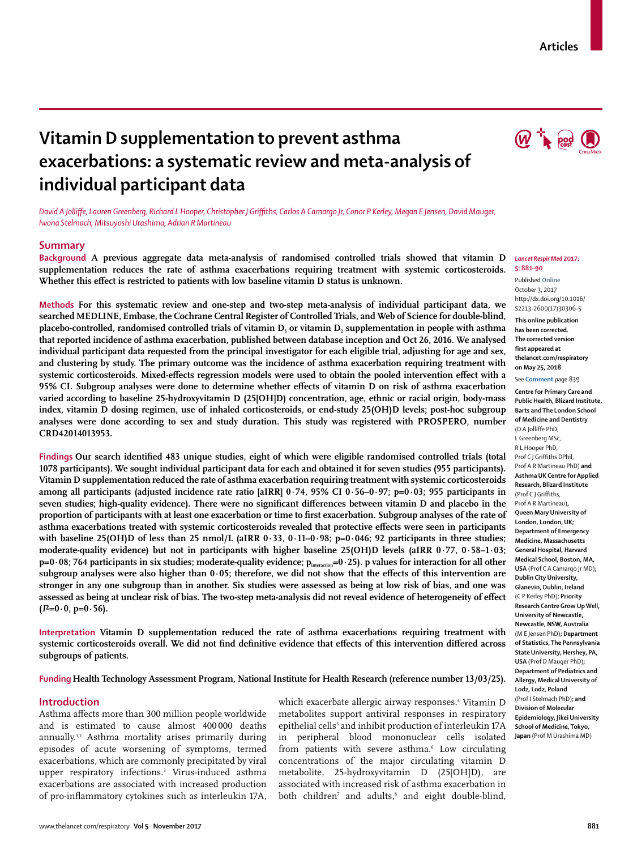# **Vitamin D supplementation to prevent asthma exacerbations: a systematic review and meta-analysis of individual participant data**

*David A Jolliffe, Lauren Greenberg, Richard L Hooper, Christopher J Griffiths, Carlos A Camargo Jr, Conor P Kerley, Megan E Jensen, David Mauger, Iwona Stelmach, Mitsuyoshi Urashima, Adrian R Martineau*

## **Summary**

**Background A previous aggregate data meta-analysis of randomised controlled trials showed that vitamin D supplementation reduces the rate of asthma exacerbations requiring treatment with systemic corticosteroids. Whether this effect is restricted to patients with low baseline vitamin D status is unknown.**

**Methods For this systematic review and one-step and two-step meta-analysis of individual participant data, we searched MEDLINE, Embase, the Cochrane Central Register of Controlled Trials, and Web of Science for double-blind,**  placebo-controlled, randomised controlled trials of vitamin D<sub>3</sub> or vitamin D<sub>2</sub> supplementation in people with asthma **that reported incidence of asthma exacerbation, published between database inception and Oct 26, 2016. We analysed individual participant data requested from the principal investigator for each eligible trial, adjusting for age and sex, and clustering by study. The primary outcome was the incidence of asthma exacerbation requiring treatment with systemic corticosteroids. Mixed-effects regression models were used to obtain the pooled intervention effect with a 95% CI. Subgroup analyses were done to determine whether effects of vitamin D on risk of asthma exacerbation varied according to baseline 25-hydroxyvitamin D (25[OH]D) concentration, age, ethnic or racial origin, body-mass index, vitamin D dosing regimen, use of inhaled corticosteroids, or end-study 25(OH)D levels; post-hoc subgroup analyses were done according to sex and study duration. This study was registered with PROSPERO, number CRD42014013953.**

**Findings Our search identified 483 unique studies, eight of which were eligible randomised controlled trials (total 1078 participants). We sought individual participant data for each and obtained it for seven studies (955 participants). Vitamin D supplementation reduced the rate of asthma exacerbation requiring treatment with systemic corticosteroids among all participants (adjusted incidence rate ratio [aIRR] 0·74, 95% CI 0·56–0·97; p=0·03; 955 participants in seven studies; high-quality evidence). There were no significant differences between vitamin D and placebo in the proportion of participants with at least one exacerbation or time to first exacerbation. Subgroup analyses of the rate of asthma exacerbations treated with systemic corticosteroids revealed that protective effects were seen in participants with baseline 25(OH)D of less than 25 nmol/L (aIRR 0·33, 0·11–0·98; p=0·046; 92 participants in three studies; moderate-quality evidence) but not in participants with higher baseline 25(OH)D levels (aIRR 0·77, 0·58–1·03; p=0·08; 764 participants in six studies; moderate-quality evidence; pinteraction=0·25). p values for interaction for all other subgroup analyses were also higher than 0·05; therefore, we did not show that the effects of this intervention are stronger in any one subgroup than in another. Six studies were assessed as being at low risk of bias, and one was assessed as being at unclear risk of bias. The two-step meta-analysis did not reveal evidence of heterogeneity of effect**   $(I^2=0.0, p=0.56)$ .

**Interpretation Vitamin D supplementation reduced the rate of asthma exacerbations requiring treatment with systemic corticosteroids overall. We did not find definitive evidence that effects of this intervention differed across subgroups of patients.**

## **Funding Health Technology Assessment Program, National Institute for Health Research (reference number 13/03/25).**

#### **Introduction**

Asthma affects more than 300 million people worldwide and is estimated to cause almost 400 000 deaths annually.1,2 Asthma mortality arises primarily during episodes of acute worsening of symptoms, termed exacerbations, which are commonly precipitated by viral upper respiratory infections.3 Virus-induced asthma exacerbations are associated with increased production of pro-inflammatory cytokines such as interleukin 17A,

which exacerbate allergic airway responses.<sup>4</sup> Vitamin D metabolites support antiviral responses in respiratory epithelial cells<sup>5</sup> and inhibit production of interleukin 17A in peripheral blood mononuclear cells isolated from patients with severe asthma.<sup>6</sup> Low circulating concentrations of the major circulating vitamin D metabolite, 25-hydroxyvitamin D (25[OH]D), are associated with increased risk of asthma exacerbation in both children<sup>7</sup> and adults,<sup>8</sup> and eight double-blind,



#### *Lancet Respir Med* **2017; 5: 881–90**

Published **Online** October 3, 2017 http://dx.doi.org/10.1016/ S2213-2600(17)30306-5 **This online publication has been corrected. The corrected version first appeared at thelancet.com/respiratory on May 25, 2018**

See **Comment** page 839

**Centre for Primary Care and Public Health, Blizard Institute, Barts and The London School of Medicine and Dentistry**  (D A Jolliffe PhD, L Greenberg MSc, R L Hooper PhD, Prof C J Griffiths DPhil, Prof A R Martineau PhD) **and Asthma UK Centre for Applied Research, Blizard Institute**  (Prof C J Griffiths, Prof A R Martineau)**, Queen Mary University of London, London, UK; Department of Emergency Medicine, Massachusetts General Hospital, Harvard Medical School, Boston, MA, USA** (Prof C A Camargo Jr MD)**; Dublin City University, Glanevin, Dublin, Ireland**  (C P Kerley PhD)**; Priority Research Centre Grow Up Well, University of Newcastle, Newcastle, NSW, Australia**  (M E Jensen PhD)**; Department of Statistics, The Pennsylvania State University, Hershey, PA, USA** (Prof D Mauger PhD)**; Department of Pediatrics and Allergy, Medical University of Lodz, Lodz, Poland**  (Prof I Stelmach PhD)**; and Division of Molecular Epidemiology, Jikei University School of Medicine, Tokyo, Japan** (Prof M Urashima MD)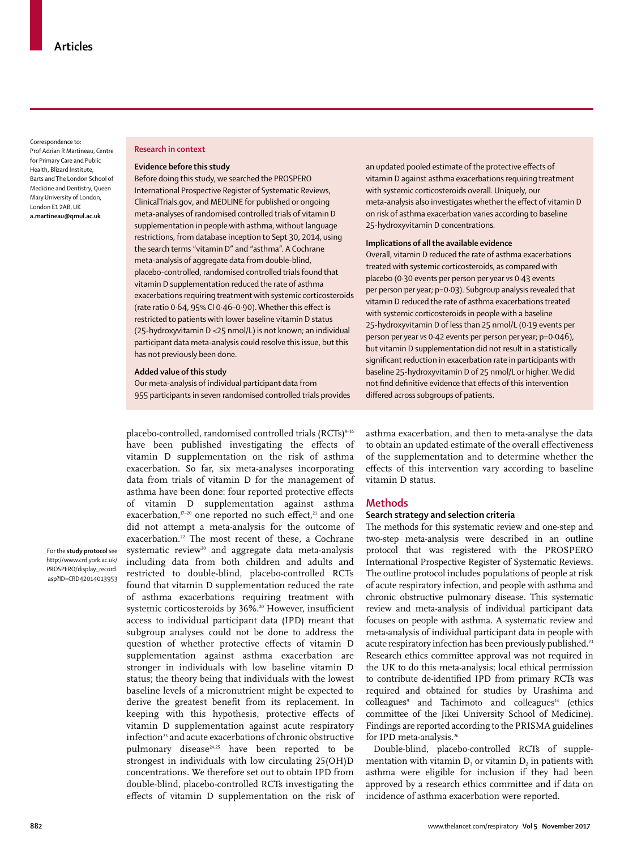Correspondence to: Prof Adrian R Martineau, Centre for Primary Care and Public Health, Blizard Institute, Barts and The London School of Medicine and Dentistry, Queen Mary University of London, London E1 2AB, UK **a.martineau@qmul.ac.uk**

#### **Research in context**

# **Evidence before this study**

Before doing this study, we searched the PROSPERO International Prospective Register of Systematic Reviews, ClinicalTrials.gov, and MEDLINE for published or ongoing meta-analyses of randomised controlled trials of vitamin D supplementation in people with asthma, without language restrictions, from database inception to Sept 30, 2014, using the search terms "vitamin D" and "asthma". A Cochrane meta-analysis of aggregate data from double-blind, placebo-controlled, randomised controlled trials found that vitamin D supplementation reduced the rate of asthma exacerbations requiring treatment with systemic corticosteroids (rate ratio 0·64, 95% CI 0·46–0·90). Whether this effect is restricted to patients with lower baseline vitamin D status (25-hydroxyvitamin D <25 nmol/L) is not known; an individual participant data meta-analysis could resolve this issue, but this has not previously been done.

## **Added value of this study**

Our meta-analysis of individual participant data from 955 participants in seven randomised controlled trials provides

placebo-controlled, randomised controlled trials (RCTs)<sup>9-16</sup>

For the **study protocol** see http://www.crd.york.ac.uk/ PROSPERO/display\_record. asp?ID=CRD42014013953

have been published investigating the effects of vitamin D supplementation on the risk of asthma exacerbation. So far, six meta-analyses incorporating data from trials of vitamin D for the management of asthma have been done: four reported protective effects of vitamin D supplementation against asthma exacerbation, $17-20$  one reported no such effect, $21$  and one did not attempt a meta-analysis for the outcome of exacerbation.<sup>22</sup> The most recent of these, a Cochrane systematic review<sup>20</sup> and aggregate data meta-analysis including data from both children and adults and restricted to double-blind, placebo-controlled RCTs found that vitamin D supplementation reduced the rate of asthma exacerbations requiring treatment with systemic corticosteroids by 36%.<sup>20</sup> However, insufficient access to individual participant data (IPD) meant that subgroup analyses could not be done to address the question of whether protective effects of vitamin D supplementation against asthma exacerbation are stronger in individuals with low baseline vitamin D status; the theory being that individuals with the lowest baseline levels of a micronutrient might be expected to derive the greatest benefit from its replacement. In keeping with this hypothesis, protective effects of vitamin D supplementation against acute respiratory infection<sup>23</sup> and acute exacerbations of chronic obstructive pulmonary disease<sup>24,25</sup> have been reported to be strongest in individuals with low circulating 25(OH)D concentrations. We therefore set out to obtain IPD from double-blind, placebo-controlled RCTs investigating the effects of vitamin D supplementation on the risk of

an updated pooled estimate of the protective effects of vitamin D against asthma exacerbations requiring treatment with systemic corticosteroids overall. Uniquely, our meta-analysis also investigates whether the effect of vitamin D on risk of asthma exacerbation varies according to baseline 25-hydroxyvitamin D concentrations.

#### **Implications of all the available evidence**

Overall, vitamin D reduced the rate of asthma exacerbations treated with systemic corticosteroids, as compared with placebo (0·30 events per person per year *vs* 0·43 events per person per year; p=0·03). Subgroup analysis revealed that vitamin D reduced the rate of asthma exacerbations treated with systemic corticosteroids in people with a baseline 25-hydroxyvitamin D of less than 25 nmol/L (0·19 events per person per year *vs* 0·42 events per person per year; p=0·046), but vitamin D supplementation did not result in a statistically significant reduction in exacerbation rate in participants with baseline 25-hydroxyvitamin D of 25 nmol/L or higher. We did not find definitive evidence that effects of this intervention differed across subgroups of patients.

asthma exacerbation, and then to meta-analyse the data to obtain an updated estimate of the overall effectiveness of the supplementation and to determine whether the effects of this intervention vary according to baseline vitamin D status.

# **Methods**

# **Search strategy and selection criteria**

The methods for this systematic review and one-step and two-step meta-analysis were described in an outline protocol that was registered with the PROSPERO International Prospective Register of Systematic Reviews. The outline protocol includes populations of people at risk of acute respiratory infection, and people with asthma and chronic obstructive pulmonary disease. This systematic review and meta-analysis of individual participant data focuses on people with asthma. A systematic review and meta-analysis of individual participant data in people with acute respiratory infection has been previously published.<sup>23</sup> Research ethics committee approval was not required in the UK to do this meta-analysis; local ethical permission to contribute de-identified IPD from primary RCTs was required and obtained for studies by Urashima and colleagues<sup>9</sup> and Tachimoto and colleagues<sup>14</sup> (ethics committee of the Jikei University School of Medicine). Findings are reported according to the PRISMA guidelines for IPD meta-analysis.<sup>26</sup>

Double-blind, placebo-controlled RCTs of supplementation with vitamin  $D_3$  or vitamin  $D_2$  in patients with asthma were eligible for inclusion if they had been approved by a research ethics committee and if data on incidence of asthma exacerbation were reported.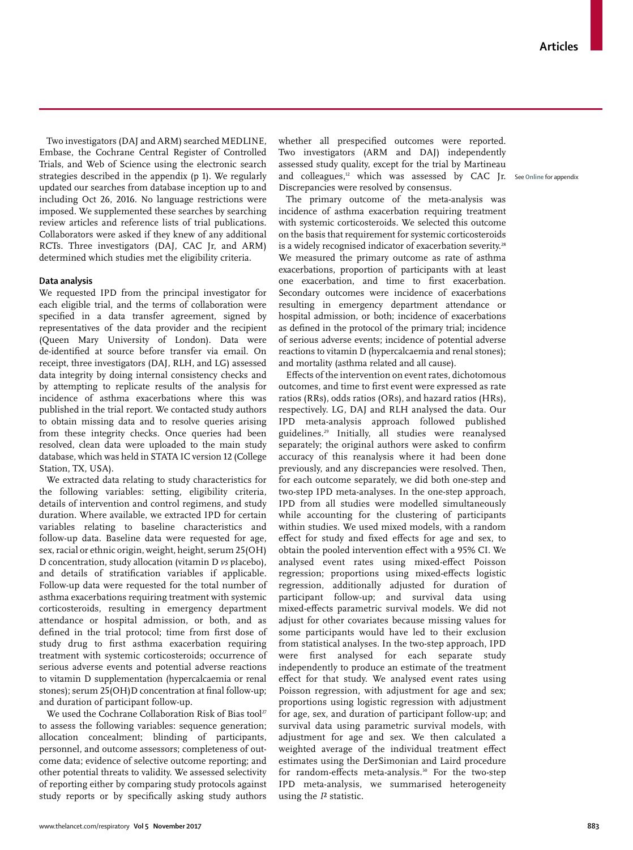Two investigators (DAJ and ARM) searched MEDLINE, Embase, the Cochrane Central Register of Controlled Trials, and Web of Science using the electronic search strategies described in the appendix (p 1). We regularly updated our searches from database inception up to and including Oct 26, 2016. No language restrictions were imposed. We supplemented these searches by searching review articles and reference lists of trial publications. Collaborators were asked if they knew of any additional RCTs. Three investigators (DAJ, CAC Jr, and ARM) determined which studies met the eligibility criteria.

# **Data analysis**

We requested IPD from the principal investigator for each eligible trial, and the terms of collaboration were specified in a data transfer agreement, signed by representatives of the data provider and the recipient (Queen Mary University of London). Data were de-identified at source before transfer via email. On receipt, three investigators (DAJ, RLH, and LG) assessed data integrity by doing internal consistency checks and by attempting to replicate results of the analysis for incidence of asthma exacerbations where this was published in the trial report. We contacted study authors to obtain missing data and to resolve queries arising from these integrity checks. Once queries had been resolved, clean data were uploaded to the main study database, which was held in STATA IC version 12 (College Station, TX, USA).

We extracted data relating to study characteristics for the following variables: setting, eligibility criteria, details of intervention and control regimens, and study duration. Where available, we extracted IPD for certain variables relating to baseline characteristics and follow-up data. Baseline data were requested for age, sex, racial or ethnic origin, weight, height, serum 25(OH) D concentration, study allocation (vitamin D *vs* placebo), and details of stratification variables if applicable. Follow-up data were requested for the total number of asthma exacerbations requiring treatment with systemic corticosteroids, resulting in emergency department attendance or hospital admission, or both, and as defined in the trial protocol; time from first dose of study drug to first asthma exacerbation requiring treatment with systemic corticosteroids; occurrence of serious adverse events and potential adverse reactions to vitamin D supplementation (hypercalcaemia or renal stones); serum 25(OH)D concentration at final follow-up; and duration of participant follow-up.

We used the Cochrane Collaboration Risk of Bias tool<sup>27</sup> to assess the following variables: sequence generation; allocation concealment; blinding of participants, personnel, and outcome assessors; completeness of outcome data; evidence of selective outcome reporting; and other potential threats to validity. We assessed selectivity of reporting either by comparing study protocols against study reports or by specifically asking study authors whether all prespecified outcomes were reported. Two investigators (ARM and DAJ) independently assessed study quality, except for the trial by Martineau and colleagues,<sup>12</sup> which was assessed by CAC Jr. See Online for appendix Discrepancies were resolved by consensus.

The primary outcome of the meta-analysis was incidence of asthma exacerbation requiring treatment with systemic corticosteroids. We selected this outcome on the basis that requirement for systemic corticosteroids is a widely recognised indicator of exacerbation severity.<sup>28</sup> We measured the primary outcome as rate of asthma exacerbations, proportion of participants with at least one exacerbation, and time to first exacerbation. Secondary outcomes were incidence of exacerbations resulting in emergency department attendance or hospital admission, or both; incidence of exacerbations as defined in the protocol of the primary trial; incidence of serious adverse events; incidence of potential adverse reactions to vitamin D (hypercalcaemia and renal stones); and mortality (asthma related and all cause).

Effects of the intervention on event rates, dichotomous outcomes, and time to first event were expressed as rate ratios (RRs), odds ratios (ORs), and hazard ratios (HRs), respectively. LG, DAJ and RLH analysed the data. Our IPD meta-analysis approach followed published guidelines.29 Initially, all studies were reanalysed separately; the original authors were asked to confirm accuracy of this reanalysis where it had been done previously, and any discrepancies were resolved. Then, for each outcome separately, we did both one-step and two-step IPD meta-analyses. In the one-step approach, IPD from all studies were modelled simultaneously while accounting for the clustering of participants within studies. We used mixed models, with a random effect for study and fixed effects for age and sex, to obtain the pooled intervention effect with a 95% CI. We analysed event rates using mixed-effect Poisson regression; proportions using mixed-effects logistic regression, additionally adjusted for duration of participant follow-up; and survival data using mixed-effects parametric survival models. We did not adjust for other covariates because missing values for some participants would have led to their exclusion from statistical analyses. In the two-step approach, IPD were first analysed for each separate study independently to produce an estimate of the treatment effect for that study. We analysed event rates using Poisson regression, with adjustment for age and sex; proportions using logistic regression with adjustment for age, sex, and duration of participant follow-up; and survival data using parametric survival models, with adjustment for age and sex. We then calculated a weighted average of the individual treatment effect estimates using the DerSimonian and Laird procedure for random-effects meta-analysis.<sup>30</sup> For the two-step IPD meta-analysis, we summarised heterogeneity using the *I*² statistic.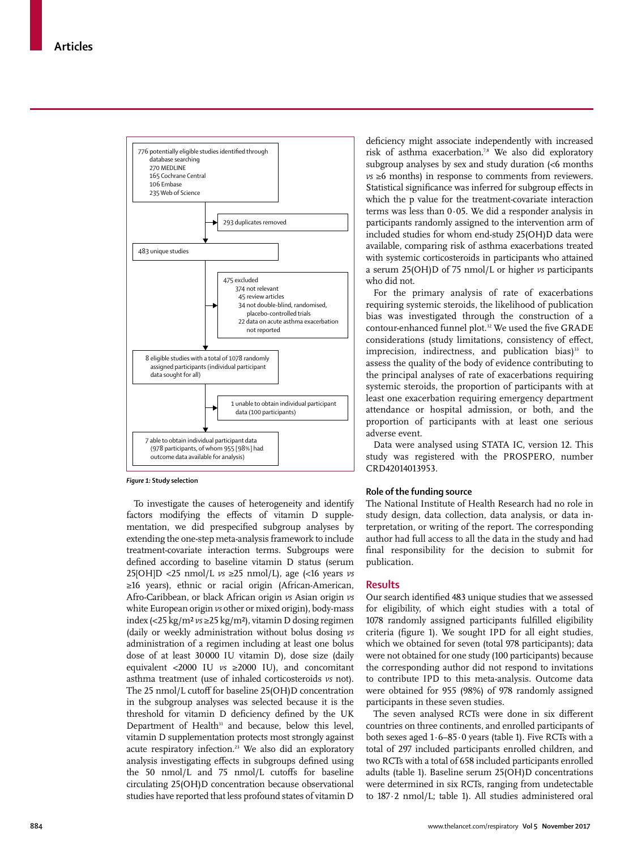

*Figure 1:* **Study selection**

To investigate the causes of heterogeneity and identify factors modifying the effects of vitamin D supplementation, we did prespecified subgroup analyses by extending the one-step meta-analysis framework to include treatment-covariate interaction terms. Subgroups were defined according to baseline vitamin D status (serum 25[OH]D <25 nmol/L *vs* ≥25 nmol/L), age (<16 years *vs* ≥16 years), ethnic or racial origin (African-American, Afro-Caribbean, or black African origin *vs* Asian origin *vs* white European origin *vs* other or mixed origin), body-mass index (<25 kg/m² *vs* ≥25 kg/m²), vitamin D dosing regimen (daily or weekly administration without bolus dosing *vs* administration of a regimen including at least one bolus dose of at least 30000 IU vitamin D), dose size (daily equivalent <2000 IU *vs* ≥2000 IU), and concomitant asthma treatment (use of inhaled corticosteroids *vs* not). The 25 nmol/L cutoff for baseline 25(OH)D concentration in the subgroup analyses was selected because it is the threshold for vitamin D deficiency defined by the UK Department of Health $31$  and because, below this level, vitamin D supplementation protects most strongly against acute respiratory infection.<sup>23</sup> We also did an exploratory analysis investigating effects in subgroups defined using the 50 nmol/L and 75 nmol/L cutoffs for baseline circulating 25(OH)D concentration because observational studies have reported that less profound states of vitamin D deficiency might associate independently with increased risk of asthma exacerbation.<sup>7,8</sup> We also did exploratory subgroup analyses by sex and study duration (<6 months *vs* ≥6 months) in response to comments from reviewers. Statistical significance was inferred for subgroup effects in which the p value for the treatment-covariate interaction terms was less than 0·05. We did a responder analysis in participants randomly assigned to the intervention arm of included studies for whom end-study 25(OH)D data were available, comparing risk of asthma exacerbations treated with systemic corticosteroids in participants who attained a serum 25(OH)D of 75 nmol/L or higher *vs* participants who did not.

For the primary analysis of rate of exacerbations requiring systemic steroids, the likelihood of publication bias was investigated through the construction of a contour-enhanced funnel plot.<sup>32</sup> We used the five GRADE considerations (study limitations, consistency of effect, imprecision, indirectness, and publication bias $33$  to assess the quality of the body of evidence contributing to the principal analyses of rate of exacerbations requiring systemic steroids, the proportion of participants with at least one exacerbation requiring emergency department attendance or hospital admission, or both, and the proportion of participants with at least one serious adverse event.

Data were analysed using STATA IC, version 12. This study was registered with the PROSPERO, number CRD42014013953.

#### **Role of the funding source**

The National Institute of Health Research had no role in study design, data collection, data analysis, or data interpretation, or writing of the report. The corresponding author had full access to all the data in the study and had final responsibility for the decision to submit for publication.

#### **Results**

Our search identified 483 unique studies that we assessed for eligibility, of which eight studies with a total of 1078 randomly assigned participants fulfilled eligibility criteria (figure 1). We sought IPD for all eight studies, which we obtained for seven (total 978 participants); data were not obtained for one study (100 participants) because the corresponding author did not respond to invitations to contribute IPD to this meta-analysis. Outcome data were obtained for 955 (98%) of 978 randomly assigned participants in these seven studies.

The seven analysed RCTs were done in six different countries on three continents, and enrolled participants of both sexes aged 1·6–85·0 years (table 1). Five RCTs with a total of 297 included participants enrolled children, and two RCTs with a total of 658 included participants enrolled adults (table 1). Baseline serum 25(OH)D concentrations were determined in six RCTs, ranging from undetectable to 187·2 nmol/L; table 1). All studies administered oral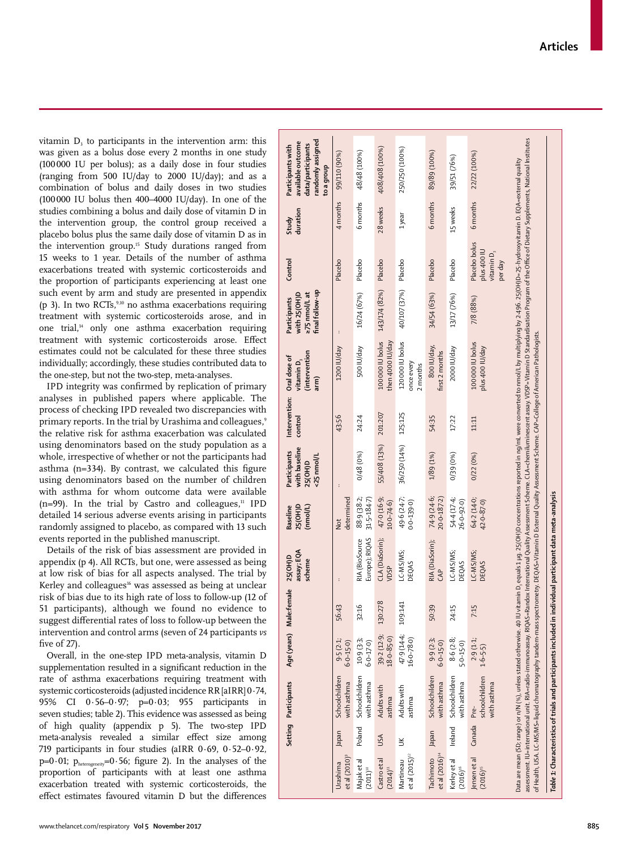vitamin D 3 to participants in the intervention arm: this was given as a bolus dose every 2 months in one study (100000 IU per bolus); as a daily dose in four studies (ranging from 500 IU/day to 2000 IU/day); and as a combination of bolus and daily doses in two studies (100000 IU bolus then 400–4000 IU/day). In one of the studies combining a bolus and daily dose of vitamin D in the intervention group, the control group received a placebo bolus plus the same daily dose of vitamin D as in the intervention group.<sup>15</sup> Study durations ranged from 15 weeks to 1 year. Details of the number of asthma exacerbations treated with systemic corticosteroids and the proportion of participants experiencing at least one such event by arm and study are presented in appendix (p 3). In two RCTs,<sup>9,10</sup> no asthma exacerbations requiring treatment with systemic corticosteroids arose, and in one trial,<sup>14</sup> only one asthma exacerbation requiring treatment with systemic corticosteroids arose. Effect estimates could not be calculated for these three studies individually; accordingly, these studies contributed data to the one-step, but not the two-step, meta-analyses.

IPD integrity was confirmed by replication of primary analyses in published papers where applicable. The process of checking IPD revealed two discrepancies with primary reports. In the trial by Urashima and colleagues, 9 the relative risk for asthma exacerbation was calculated using denominators based on the study population as a whole, irrespective of whether or not the participants had asthma (n=334). By contrast, we calculated this figure using denominators based on the number of children with asthma for whom outcome data were available  $(n=99)$ . In the trial by Castro and colleagues, $n = 1$  IPD detailed 14 serious adverse events arising in participants randomly assigned to placebo, as compared with 13 such events reported in the published manuscript.

Details of the risk of bias assessment are provided in appendix (p 4). All RCTs, but one, were assessed as being at low risk of bias for all aspects analysed. The trial by Kerley and colleagues<sup>16</sup> was assessed as being at unclear risk of bias due to its high rate of loss to follow-up (12 of 51 participants), although we found no evidence to suggest differential rates of loss to follow-up between the intervention and control arms (seven of 24 participants *vs* five of 27).

Overall, in the one-step IPD meta-analysis, vitamin D supplementation resulted in a significant reduction in the rate of asthma exacerbations requiring treatment with systemic corticosteroids (adjusted incidence RR [aIRR] 0·74, 95% CI 0·56–0·97; p=0·03; 955 participants in seven studies; table 2). This evidence was assessed as being of high quality (appendix p 5). The two-step IPD meta-analysis revealed a similar effect size among 719 participants in four studies (aIRR 0·69, 0·52–0·92, p=0.01;  $p_{heterogeneity}$ =0.56; figure 2). In the analyses of the proportion of participants with at least one asthma exacerbation treated with systemic corticosteroids, the effect estimates favoured vitamin D but the differences

|                                                  |             | Setting Participants          |                               | Age (years) Male:female | assay; EQA<br>25(OH)D<br>scheme                                                                           | 25(OH)D<br>(nmol/L)<br><b>Baseline</b> | with baseline<br>Participants<br><25 nmol/L<br>25(OH)D | Intervention: Oral dose of<br>control | (intervention<br>vitamin D,<br>arm)                                                                                                                                                                                                                                                                                                                                                                                                                                                                                                                                                                                                   | final follow-up<br>with 25(OH)D<br>z75 nmol/Lat<br>Participants | Control                                                  | duration<br>Study | randomly assigned<br>available outcome<br>data/participants<br>Participants with<br>to a group |  |
|--------------------------------------------------|-------------|-------------------------------|-------------------------------|-------------------------|-----------------------------------------------------------------------------------------------------------|----------------------------------------|--------------------------------------------------------|---------------------------------------|---------------------------------------------------------------------------------------------------------------------------------------------------------------------------------------------------------------------------------------------------------------------------------------------------------------------------------------------------------------------------------------------------------------------------------------------------------------------------------------------------------------------------------------------------------------------------------------------------------------------------------------|-----------------------------------------------------------------|----------------------------------------------------------|-------------------|------------------------------------------------------------------------------------------------|--|
| etal(2010) <sup>9</sup><br>Urashima              | Japan       | Schoolchildren<br>vith asthma | 9.5(2.1)<br>$6.0 - 15.0$      | 56:43                   |                                                                                                           | determined<br><b>b</b>                 |                                                        | 43:56                                 | 1200 IU/day                                                                                                                                                                                                                                                                                                                                                                                                                                                                                                                                                                                                                           | $\ddot{\phantom{a}}$                                            | Placebo                                                  | 4 months          | 99/110 (90%)                                                                                   |  |
| Majak et al<br>$(2011)^{\scriptscriptstyle{10}}$ | Poland      | Schoolchildren<br>with asthma | $10.9(3-3)$<br>$6 - 0.17 - 0$ | 32:16                   | Europe); RIQAS<br>RIA (BioSource                                                                          | 88.9 (38.2;<br>$31.5 - 184.7$          | 0/48 (0%)                                              | 24:24                                 | 500 IU/day                                                                                                                                                                                                                                                                                                                                                                                                                                                                                                                                                                                                                            | 16/24 (67%)                                                     | Placebo                                                  | 6 months          | 48/48 (100%)                                                                                   |  |
| Castro et al<br>$(2014)^{11}$                    | USA         | Adults with<br>asthma         | 39-2 (12-9;<br>$18.0 - 85.0$  | 130:278                 | CLA (DiaSorin);<br>VDSP                                                                                   | 47.0 (16.9;<br>$10.0 - 74.6$           | 55/408 (13%)                                           | 201:207                               | 100000 IU bolus<br>then 4000 IU/day                                                                                                                                                                                                                                                                                                                                                                                                                                                                                                                                                                                                   | 143/174 (82%)                                                   | Placebo                                                  | 28 weeks          | 408/408 (100%)                                                                                 |  |
| et al (2015) <sup>12</sup><br>Martineau          | š           | Adults with<br>asthma         | 47.9 (14.4;<br>$16-0-780$     | 109:141                 | LC-MS/MS;<br>DEQAS                                                                                        | 49.6 (24.7;<br>$0.0 - 139.0$           | 36/250 (14%)                                           | 125:125                               | 120000 IU bolus<br>once every<br>2 months                                                                                                                                                                                                                                                                                                                                                                                                                                                                                                                                                                                             | 40/107 (37%)                                                    | Placebo                                                  | 1year             | 250/250 (100%)                                                                                 |  |
| et al $(2016)^{14}$<br>Tachimoto                 | Japan       | Schoolchildren<br>with asthma | 9.9(2.3)<br>$6.0 - 15.0$      | 50:39                   | RIA (DiaSorin);<br>$\overline{A}P$                                                                        | 74.9 (24.6;<br>20.0-187.2)             | 1/89 (1%)                                              | 54:35                                 | 800 IU/day,<br>first 2 months                                                                                                                                                                                                                                                                                                                                                                                                                                                                                                                                                                                                         | 34/54 (63%)                                                     | Placebo                                                  | 6 months          | 89/89 (100%)                                                                                   |  |
| Kerleyetal<br>$(2016)^{16}$                      | Ireland     | Schoolchildren<br>with asthma | 8.6 (2.8;<br>$5 - 0 - 15 - 0$ | 24:15                   | LC-MS/MS;<br>DEOAS                                                                                        | 54-4 (17-4;<br>$26 - 0 - 92 - 0)$      | 0/39 (0%)                                              | 17:22                                 | 2000 IU/day                                                                                                                                                                                                                                                                                                                                                                                                                                                                                                                                                                                                                           | 13/17 (76%)                                                     | Placebo                                                  | 15 weeks          | 39/51 (76%)                                                                                    |  |
| Jensen et al<br>$(2016)^{15}$                    | Canada Pre- | schoolchildren<br>with asthma | 2.9(1.1)<br>$1.6 - 5.5$       | 7:15                    | LC-MS/MS;<br><b>DEQAS</b>                                                                                 | 64-2 (14-0;<br>$42.0 - 87.0$           | 0/22(0%)                                               | 11:11                                 | 100000 IU bolus<br>plus 400 IU/day                                                                                                                                                                                                                                                                                                                                                                                                                                                                                                                                                                                                    | 7/8 (88%)                                                       | Placebo bolus<br>plus 400 IU<br>vitamin $D_3$<br>per day | 6 months          | 22/22 (100%)                                                                                   |  |
|                                                  |             |                               |                               |                         |                                                                                                           |                                        |                                                        |                                       | assessment. IU=international unit. RIA=radio-immunoassay, RIQAS=Randox International Quality Assessment Scheme. CLA=chemiluminescent assay, VDSP=Vitamin D Standardisation Program of the Office of Dietary Supplements, Natio<br>Data are mean (SD; range) or n/N (%), unless stated otherwise. 40 IU vitamin D, equals 1 ya, 25(OH)D concentrations reported in ng/mL were converted to mno/lL by multiplying by 2-496. 25(OH)D=25-hydroxyvitamin D. EQA=exter<br>of Health, USA. LC-MS/MS=liquid chromatography tandem-mass spectrometry. DEQAS=Vitamin D External Quality Assessment Scheme. CAP=College of American Pathologists |                                                                 |                                                          |                   |                                                                                                |  |
|                                                  |             |                               |                               |                         | Table 1: Characteristics of trials and participants included in individual participant data meta-analysis |                                        |                                                        |                                       |                                                                                                                                                                                                                                                                                                                                                                                                                                                                                                                                                                                                                                       |                                                                 |                                                          |                   |                                                                                                |  |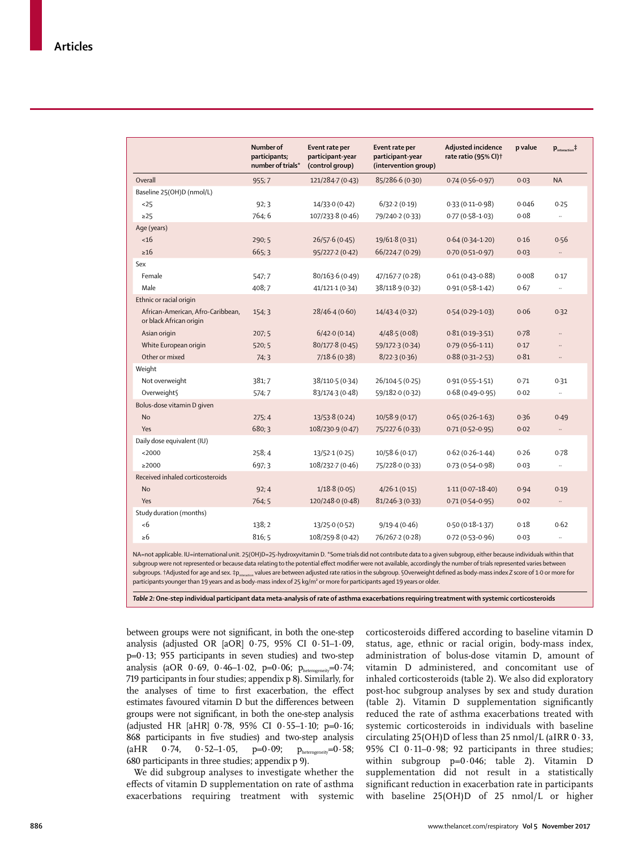|                                                              | Number of<br>participants;<br>number of trials* | Event rate per<br>participant-year<br>(control group) | Event rate per<br>participant-year<br>(intervention group) | <b>Adjusted incidence</b><br>rate ratio (95% CI) <sup>+</sup> | p value | $\mathbf{p}_{\text{interaction}}$ <sup><math>\ddagger</math></sup> |
|--------------------------------------------------------------|-------------------------------------------------|-------------------------------------------------------|------------------------------------------------------------|---------------------------------------------------------------|---------|--------------------------------------------------------------------|
| Overall                                                      | 955:7                                           | 121/284-7 (0-43)                                      | 85/286.6 (0.30)                                            | $0.74(0.56 - 0.97)$                                           | 0.03    | <b>NA</b>                                                          |
| Baseline 25(OH)D (nmol/L)                                    |                                                 |                                                       |                                                            |                                                               |         |                                                                    |
| $25$                                                         | 92;3                                            | 14/33.0(0.42)                                         | 6/32.2(0.19)                                               | $0.33(0.11 - 0.98)$                                           | 0.046   | 0.25                                                               |
| $\geq$ 25                                                    | 764:6                                           | 107/233-8 (0-46)                                      | 79/240-2 (0-33)                                            | $0.77(0.58 - 1.03)$                                           | 0.08    |                                                                    |
| Age (years)                                                  |                                                 |                                                       |                                                            |                                                               |         |                                                                    |
| <16                                                          | 290; 5                                          | 26/57.6(0.45)                                         | 19/61.8 (0.31)                                             | $0.64(0.34 - 1.20)$                                           | 0.16    | 0.56                                                               |
| $\geq 16$                                                    | 665; 3                                          | 95/227.2(0.42)                                        | 66/224.7 (0.29)                                            | $0.70(0.51 - 0.97)$                                           | 0.03    | $\ldots$                                                           |
| Sex                                                          |                                                 |                                                       |                                                            |                                                               |         |                                                                    |
| Female                                                       | 547:7                                           | 80/163.6 (0.49)                                       | 47/167-7 (0-28)                                            | $0.61(0.43 - 0.88)$                                           | 0.008   | 0.17                                                               |
| Male                                                         | 408;7                                           | 41/121-1 (0-34)                                       | 38/118.9 (0.32)                                            | $0.91(0.58 - 1.42)$                                           | 0.67    | $\ldots$                                                           |
| Ethnic or racial origin                                      |                                                 |                                                       |                                                            |                                                               |         |                                                                    |
| African-American, Afro-Caribbean,<br>or black African origin | 154:3                                           | 28/46.4(0.60)                                         | 14/43.4(0.32)                                              | $0.54(0.29 - 1.03)$                                           | 0.06    | 0.32                                                               |
| Asian origin                                                 | 207; 5                                          | 6/42.0(0.14)                                          | 4/48.5(0.08)                                               | $0.81(0.19-3.51)$                                             | 0.78    | $\ddotsc$                                                          |
| White European origin                                        | 520; 5                                          | 80/177.8 (0.45)                                       | 59/172-3 (0-34)                                            | $0.79(0.56 - 1.11)$                                           | 0.17    | $\ddotsc$                                                          |
| Other or mixed                                               | 74:3                                            | 7/18.6(0.38)                                          | 8/22.3(0.36)                                               | $0.88(0.31 - 2.53)$                                           | 0.81    | $\ldots$                                                           |
| Weight                                                       |                                                 |                                                       |                                                            |                                                               |         |                                                                    |
| Not overweight                                               | 381;7                                           | 38/110-5 (0-34)                                       | 26/104.5 (0.25)                                            | $0.91(0.55 - 1.51)$                                           | 0.71    | 0.31                                                               |
| Overweight                                                   | 574;7                                           | 83/174.3 (0.48)                                       | 59/182.0 (0.32)                                            | $0.68(0.49 - 0.95)$                                           | 0.02    | $\ddotsc$                                                          |
| Bolus-dose vitamin D given                                   |                                                 |                                                       |                                                            |                                                               |         |                                                                    |
| <b>No</b>                                                    | 275:4                                           | 13/53.8 (0.24)                                        | 10/58.9 (0.17)                                             | $0.65(0.26 - 1.63)$                                           | 0.36    | 0.49                                                               |
| Yes                                                          | 680; 3                                          | 108/230.9 (0.47)                                      | 75/227.6 (0.33)                                            | $0.71(0.52 - 0.95)$                                           | 0.02    | $\cdot\cdot$                                                       |
| Daily dose equivalent (IU)                                   |                                                 |                                                       |                                                            |                                                               |         |                                                                    |
| $<$ 2000                                                     | 258:4                                           | 13/52.1(0.25)                                         | 10/58.6(0.17)                                              | $0.62(0.26 - 1.44)$                                           | 0.26    | 0.78                                                               |
| >2000                                                        | 697:3                                           | 108/232-7 (0-46)                                      | 75/228.0 (0.33)                                            | $0.73(0.54 - 0.98)$                                           | 0.03    | $\ldots$                                                           |
| Received inhaled corticosteroids                             |                                                 |                                                       |                                                            |                                                               |         |                                                                    |
| <b>No</b>                                                    | 92; 4                                           | 1/18.8(0.05)                                          | 4/26.1(0.15)                                               | $1.11(0.07 - 18.40)$                                          | 0.94    | 0.19                                                               |
| Yes                                                          | 764;5                                           | 120/2480 (0.48)                                       | 81/246-3 (0-33)                                            | $0.71(0.54 - 0.95)$                                           | 0.02    | $\ldots$                                                           |
| Study duration (months)                                      |                                                 |                                                       |                                                            |                                                               |         |                                                                    |
| <6                                                           | 138:2                                           | 13/25.0 (0.52)                                        | 9/19.4(0.46)                                               | $0.50(0.18 - 1.37)$                                           | 0.18    | 0.62                                                               |
| $\geq 6$                                                     | 816; 5                                          | 108/259.8 (0.42)                                      | 76/267-2 (0-28)                                            | $0.72(0.53 - 0.96)$                                           | 0.03    | $\ldots$                                                           |

NA=not applicable. IU=international unit. 25(OH)D=25-hydroxyvitamin D. \*Some trials did not contribute data to a given subgroup, either because individuals within that subgroup were not represented or because data relating to the potential effect modifier were not available, accordingly the number of trials represented varies between subgroups. †Adjusted for age and sex. ‡p<sub>interation</sub> values are between adjusted rate ratios in the subgroup. §Overweight defined as body-mass index *Z* score of 1·0 or more for participants younger than 19 years and as body-mass index of 25 kg/m² or more for participants aged 19 years or older.

*Table 2:* **One-step individual participant data meta-analysis of rate of asthma exacerbations requiring treatment with systemic corticosteroids**

between groups were not significant, in both the one-step analysis (adjusted OR [aOR] 0·75, 95% CI 0·51–1·09,  $p=0.13$ ; 955 participants in seven studies) and two-step analysis (aOR  $0.69$ ,  $0.46-1.02$ ,  $p=0.06$ ;  $p_{heterogeneity}=0.74$ ; 719 participants in four studies; appendix p 8). Similarly, for the analyses of time to first exacerbation, the effect estimates favoured vitamin D but the differences between groups were not significant, in both the one-step analysis (adjusted HR [aHR] 0·78, 95% CI 0·55–1·10; p=0·16; 868 participants in five studies) and two-step analysis (aHR 0·74, 0·52-1·05,  $p=0.09$ ;  $p_{heterogeneity}=0.58$ ; 680 participants in three studies; appendix p 9).

We did subgroup analyses to investigate whether the effects of vitamin D supplementation on rate of asthma exacerbations requiring treatment with systemic corticosteroids differed according to baseline vitamin D status, age, ethnic or racial origin, body-mass index, administration of bolus-dose vitamin D, amount of vitamin D administered, and concomitant use of inhaled corticosteroids (table 2). We also did exploratory post-hoc subgroup analyses by sex and study duration (table 2). Vitamin D supplementation significantly reduced the rate of asthma exacerbations treated with systemic corticosteroids in individuals with baseline circulating 25(OH)D of less than 25 nmol/L (aIRR 0·33, 95% CI 0·11–0·98; 92 participants in three studies; within subgroup p=0·046; table 2). Vitamin D supplementation did not result in a statistically significant reduction in exacerbation rate in participants with baseline 25(OH)D of 25 nmol/L or higher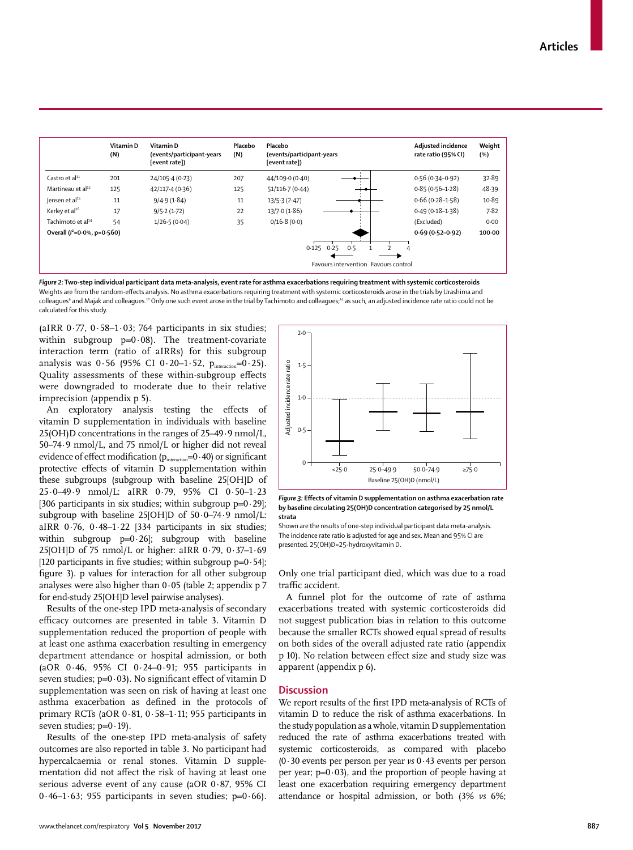|                                 | Vitamin D<br>(N) | Vitamin D<br>(events/participant-years<br>[event rate]) | Placebo<br>(N) | Placebo<br>(events/participant-years<br>[event rate]) | Adjusted incidence<br>rate ratio (95% CI) | Weight<br>(%) |
|---------------------------------|------------------|---------------------------------------------------------|----------------|-------------------------------------------------------|-------------------------------------------|---------------|
| $C$ astro et al <sup>11</sup>   | 201              | 24/105.4 (0.23)                                         | 207            | 44/109.0 (0.40)                                       | $0.56(0.34 - 0.92)$                       | 32.89         |
| Martineau et al <sup>12</sup>   | 125              | 42/117.4(0.36)                                          | 125            | 51/116.7(0.44)                                        | $0.85(0.56 - 1.28)$                       | 48.39         |
| Jensen et al <sup>15</sup>      | 11               | 9/4.9(1.84)                                             | 11             | 13/5.3(2.47)                                          | $0.66(0.28 - 1.58)$                       | 10.89         |
| Kerley et al <sup>16</sup>      | 17               | 9/5.2(1.72)                                             | 22             | 13/7.0(1.86)                                          | $0.49(0.18-1.38)$                         | 7.82          |
| Tachimoto et al <sup>14</sup>   | 54               | 1/26.5(0.04)                                            | 35             | 0/16.8(0.0)                                           | (Excluded)                                | 0.00          |
| Overall ( $l^2$ =0.0%, p=0.560) |                  |                                                         |                |                                                       | $0.69(0.52 - 0.92)$                       | 100.00        |
|                                 |                  |                                                         |                | $0.125$ $0.25$<br>0.5                                 |                                           |               |
|                                 |                  |                                                         |                | Favours intervention Favours control                  |                                           |               |

*Figure 2:* **Two-step individual participant data meta-analysis, event rate for asthma exacerbations requiring treatment with systemic corticosteroids** Weights are from the random-effects analysis. No asthma exacerbations requiring treatment with systemic corticosteroids arose in the trials by Urashima and colleaguesº and Majak and colleagues.1º Only one such event arose in the trial by Tachimoto and colleagues;14 as such, an adjusted incidence rate ratio could not be calculated for this study.

(aIRR  $0.77$ ,  $0.58-1.03$ ; 764 participants in six studies; within subgroup  $p=0.08$ ). The treatment-covariate interaction term (ratio of aIRRs) for this subgroup analysis was  $0.56$  (95% CI  $0.20-1.52$ ,  $p_{interaction} = 0.25$ ). Quality assessments of these within-subgroup effects were downgraded to moderate due to their relative imprecision (appendix p 5).

An exploratory analysis testing the effects of vitamin D supplementation in individuals with baseline 25(OH)D concentrations in the ranges of 25–49·9 nmol/L, 50–74·9 nmol/L, and 75 nmol/L or higher did not reveal evidence of effect modification ( $p_{\text{interaction}}$ =0·40) or significant protective effects of vitamin D supplementation within these subgroups (subgroup with baseline 25[OH]D of 25·0–49·9 nmol/L: aIRR 0·79, 95% CI 0·50–1·23 [306 participants in six studies; within subgroup  $p=0.29$ ]; subgroup with baseline 25[OH]D of 50·0–74·9 nmol/L: aIRR 0·76, 0·48–1·22 [334 participants in six studies; within subgroup  $p=0.26$ ]; subgroup with baseline 25[OH]D of 75 nmol/L or higher: aIRR 0·79, 0·37–1·69 [120 participants in five studies; within subgroup  $p=0.54$ ]; figure 3). p values for interaction for all other subgroup analyses were also higher than  $0.05$  (table 2; appendix p 7 for end-study 25[OH]D level pairwise analyses).

Results of the one-step IPD meta-analysis of secondary efficacy outcomes are presented in table 3. Vitamin D supplementation reduced the proportion of people with at least one asthma exacerbation resulting in emergency department attendance or hospital admission, or both (aOR 0·46, 95% CI 0·24–0·91; 955 participants in seven studies;  $p=0.03$ ). No significant effect of vitamin D supplementation was seen on risk of having at least one asthma exacerbation as defined in the protocols of primary RCTs (aOR 0·81, 0·58–1·11; 955 participants in seven studies;  $p=0.19$ ).

Results of the one-step IPD meta-analysis of safety outcomes are also reported in table 3. No participant had hypercalcaemia or renal stones. Vitamin D supplementation did not affect the risk of having at least one serious adverse event of any cause (aOR 0·87, 95% CI  $0.46-1.63$ ; 955 participants in seven studies; p= $0.66$ ).



*Figure 3:* **Effects of vitamin D supplementation on asthma exacerbation rate by baseline circulating 25(OH)D concentration categorised by 25 nmol/L strata**

Shown are the results of one-step individual participant data meta-analysis. The incidence rate ratio is adjusted for age and sex. Mean and 95% CI are presented. 25(OH)D=25-hydroxyvitamin D.

Only one trial participant died, which was due to a road traffic accident.

A funnel plot for the outcome of rate of asthma exacerbations treated with systemic corticosteroids did not suggest publication bias in relation to this outcome because the smaller RCTs showed equal spread of results on both sides of the overall adjusted rate ratio (appendix p 10). No relation between effect size and study size was apparent (appendix p 6).

# **Discussion**

We report results of the first IPD meta-analysis of RCTs of vitamin D to reduce the risk of asthma exacerbations. In the study population as a whole, vitamin D supplementation reduced the rate of asthma exacerbations treated with systemic corticosteroids, as compared with placebo (0·30 events per person per year *vs* 0·43 events per person per year;  $p=0.03$ ), and the proportion of people having at least one exacerbation requiring emergency department attendance or hospital admission, or both (3% *vs* 6%;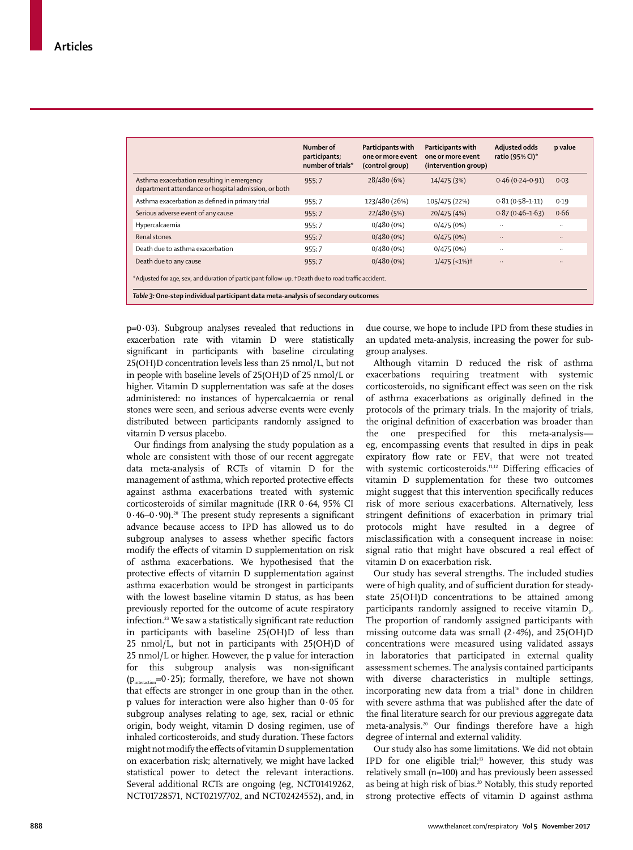|                                                                                                     | Number of<br>participants;<br>number of trials* | Participants with<br>one or more event<br>(control group) | Participants with<br>one or more event<br>(intervention group) | Adjusted odds<br>ratio (95% CI)* | p value   |  |  |
|-----------------------------------------------------------------------------------------------------|-------------------------------------------------|-----------------------------------------------------------|----------------------------------------------------------------|----------------------------------|-----------|--|--|
| Asthma exacerbation resulting in emergency<br>department attendance or hospital admission, or both  | 955:7                                           | 28/480 (6%)                                               | 14/475 (3%)                                                    | $0.46(0.24 - 0.91)$              | 0.03      |  |  |
| Asthma exacerbation as defined in primary trial                                                     | 955:7                                           | 123/480 (26%)                                             | 105/475 (22%)                                                  | $0.81(0.58 - 1.11)$              | 0.19      |  |  |
| Serious adverse event of any cause                                                                  | 955:7                                           | 22/480 (5%)                                               | 20/475 (4%)                                                    | $0.87(0.46 - 1.63)$              | 0.66      |  |  |
| Hypercalcaemia                                                                                      | 955:7                                           | $0/480(0\%)$                                              | 0/475(0%)                                                      | $\cdot$ .                        | $\cdot$ . |  |  |
| Renal stones                                                                                        | 955:7                                           | $0/480(0\%)$                                              | 0/475(0%)                                                      | $\ldots$                         | $\ldots$  |  |  |
| Death due to asthma exacerbation                                                                    | 955;7                                           | $0/480(0\%)$                                              | 0/475(0%)                                                      | $\cdot$                          | $\ddotsc$ |  |  |
| Death due to any cause                                                                              | 955:7                                           | $0/480(0\%)$                                              | $1/475$ (<1%) <sup>†</sup>                                     |                                  |           |  |  |
| *Adjusted for age, sex, and duration of participant follow-up. †Death due to road traffic accident. |                                                 |                                                           |                                                                |                                  |           |  |  |
| Table 3: One-step individual participant data meta-analysis of secondary outcomes                   |                                                 |                                                           |                                                                |                                  |           |  |  |

 $p=0.03$ ). Subgroup analyses revealed that reductions in exacerbation rate with vitamin D were statistically significant in participants with baseline circulating 25(OH)D concentration levels less than 25 nmol/L, but not in people with baseline levels of 25(OH)D of 25 nmol/L or higher. Vitamin D supplementation was safe at the doses administered: no instances of hypercalcaemia or renal stones were seen, and serious adverse events were evenly distributed between participants randomly assigned to vitamin D versus placebo.

Our findings from analysing the study population as a whole are consistent with those of our recent aggregate data meta-analysis of RCTs of vitamin D for the management of asthma, which reported protective effects against asthma exacerbations treated with systemic corticosteroids of similar magnitude (IRR 0·64, 95% CI  $0.46-0.90$ .<sup>20</sup> The present study represents a significant advance because access to IPD has allowed us to do subgroup analyses to assess whether specific factors modify the effects of vitamin D supplementation on risk of asthma exacerbations. We hypothesised that the protective effects of vitamin D supplementation against asthma exacerbation would be strongest in participants with the lowest baseline vitamin D status, as has been previously reported for the outcome of acute respiratory infection.23 We saw a statistically significant rate reduction in participants with baseline 25(OH)D of less than 25 nmol/L, but not in participants with 25(OH)D of 25 nmol/L or higher. However, the p value for interaction for this subgroup analysis was non-significant ( $p_{interaction} = 0.25$ ); formally, therefore, we have not shown that effects are stronger in one group than in the other. p values for interaction were also higher than 0·05 for subgroup analyses relating to age, sex, racial or ethnic origin, body weight, vitamin D dosing regimen, use of inhaled corticosteroids, and study duration. These factors might not modify the effects of vitamin D supplementation on exacerbation risk; alternatively, we might have lacked statistical power to detect the relevant interactions. Several additional RCTs are ongoing (eg, NCT01419262, NCT01728571, NCT02197702, and NCT02424552), and, in due course, we hope to include IPD from these studies in an updated meta-analysis, increasing the power for subgroup analyses.

Although vitamin D reduced the risk of asthma exacerbations requiring treatment with systemic corticosteroids, no significant effect was seen on the risk of asthma exacerbations as originally defined in the protocols of the primary trials. In the majority of trials, the original definition of exacerbation was broader than the one prespecified for this meta-analysis eg, encompassing events that resulted in dips in peak expiratory flow rate or  $FEV<sub>1</sub>$  that were not treated with systemic corticosteroids.<sup>11,12</sup> Differing efficacies of vitamin D supplementation for these two outcomes might suggest that this intervention specifically reduces risk of more serious exacerbations. Alternatively, less stringent definitions of exacerbation in primary trial protocols might have resulted in a degree of misclassification with a consequent increase in noise: signal ratio that might have obscured a real effect of vitamin D on exacerbation risk.

Our study has several strengths. The included studies were of high quality, and of sufficient duration for steadystate 25(OH)D concentrations to be attained among participants randomly assigned to receive vitamin  $D<sub>3</sub>$ . The proportion of randomly assigned participants with missing outcome data was small  $(2.4\%)$ , and  $25(OH)D$ concentrations were measured using validated assays in laboratories that participated in external quality assessment schemes. The analysis contained participants with diverse characteristics in multiple settings, incorporating new data from a trial<sup>16</sup> done in children with severe asthma that was published after the date of the final literature search for our previous aggregate data meta-analysis.20 Our findings therefore have a high degree of internal and external validity.

Our study also has some limitations. We did not obtain IPD for one eligible trial;<sup>13</sup> however, this study was relatively small (n=100) and has previously been assessed as being at high risk of bias.<sup>20</sup> Notably, this study reported strong protective effects of vitamin D against asthma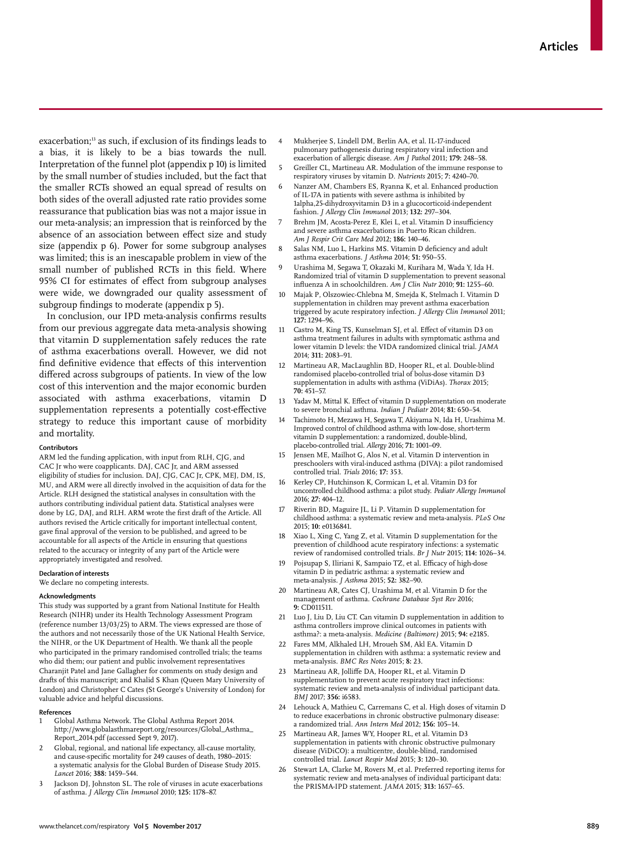exacerbation;<sup>13</sup> as such, if exclusion of its findings leads to a bias, it is likely to be a bias towards the null. Interpretation of the funnel plot (appendix p 10) is limited by the small number of studies included, but the fact that the smaller RCTs showed an equal spread of results on both sides of the overall adjusted rate ratio provides some reassurance that publication bias was not a major issue in our meta-analysis; an impression that is reinforced by the absence of an association between effect size and study size (appendix p 6). Power for some subgroup analyses was limited; this is an inescapable problem in view of the small number of published RCTs in this field. Where 95% CI for estimates of effect from subgroup analyses were wide, we downgraded our quality assessment of subgroup findings to moderate (appendix p 5).

In conclusion, our IPD meta-analysis confirms results from our previous aggregate data meta-analysis showing that vitamin D supplementation safely reduces the rate of asthma exacerbations overall. However, we did not find definitive evidence that effects of this intervention differed across subgroups of patients. In view of the low cost of this intervention and the major economic burden associated with asthma exacerbations, vitamin D supplementation represents a potentially cost-effective strategy to reduce this important cause of morbidity and mortality.

#### **Contributors**

ARM led the funding application, with input from RLH, CJG, and CAC Jr who were coapplicants. DAJ, CAC Jr, and ARM assessed eligibility of studies for inclusion. DAJ, CJG, CAC Jr, CPK, MEJ, DM, IS, MU, and ARM were all directly involved in the acquisition of data for the Article. RLH designed the statistical analyses in consultation with the authors contributing individual patient data. Statistical analyses were done by LG, DAJ, and RLH. ARM wrote the first draft of the Article. All authors revised the Article critically for important intellectual content, gave final approval of the version to be published, and agreed to be accountable for all aspects of the Article in ensuring that questions related to the accuracy or integrity of any part of the Article were appropriately investigated and resolved.

#### **Declaration of interests**

We declare no competing interests.

#### **Acknowledgments**

This study was supported by a grant from National Institute for Health Research (NIHR) under its Health Technology Assessment Program (reference number 13/03/25) to ARM. The views expressed are those of the authors and not necessarily those of the UK National Health Service, the NIHR, or the UK Department of Health. We thank all the people who participated in the primary randomised controlled trials; the teams who did them; our patient and public involvement representatives Charanjit Patel and Jane Gallagher for comments on study design and drafts of this manuscript; and Khalid S Khan (Queen Mary University of London) and Christopher C Cates (St George's University of London) for valuable advice and helpful discussions.

#### **References**

- 1 Global Asthma Network. The Global Asthma Report 2014. http://www.globalasthmareport.org/resources/Global\_Asthma\_ Report\_2014.pdf (accessed Sept 9, 2017).
- Global, regional, and national life expectancy, all-cause mortality, and cause-specific mortality for 249 causes of death, 1980–2015: a systematic analysis for the Global Burden of Disease Study 2015. *Lancet* 2016; **388:** 1459–544.
- 3 Jackson DJ, Johnston SL. The role of viruses in acute exacerbations of asthma. *J Allergy Clin Immunol* 2010; **125:** 1178–87.
- 4 Mukherjee S, Lindell DM, Berlin AA, et al. IL-17-induced pulmonary pathogenesis during respiratory viral infection and exacerbation of allergic disease. *Am J Pathol* 2011; **179:** 248–58.
- 5 Greiller CL, Martineau AR. Modulation of the immune response to respiratory viruses by vitamin D. *Nutrients* 2015; **7:** 4240–70.
- Nanzer AM, Chambers ES, Ryanna K, et al. Enhanced production of IL-17A in patients with severe asthma is inhibited by 1alpha,25-dihydroxyvitamin D3 in a glucocorticoid-independent fashion. *J Allergy Clin Immunol* 2013; **132:** 297–304.
- 7 Brehm JM, Acosta-Perez E, Klei L, et al. Vitamin D insufficiency and severe asthma exacerbations in Puerto Rican children. *Am J Respir Crit Care Med* 2012; **186:** 140–46.
- 8 Salas NM, Luo L, Harkins MS. Vitamin D deficiency and adult asthma exacerbations. *J Asthma* 2014; **51:** 950–55.
- 9 Urashima M, Segawa T, Okazaki M, Kurihara M, Wada Y, Ida H. Randomized trial of vitamin D supplementation to prevent seasonal influenza A in schoolchildren. *Am J Clin Nutr* 2010; **91:** 1255–60.
- 10 Majak P, Olszowiec-Chlebna M, Smejda K, Stelmach I. Vitamin D supplementation in children may prevent asthma exacerbation triggered by acute respiratory infection. *J Allergy Clin Immunol* 2011; **127:** 1294–96.
- 11 Castro M, King TS, Kunselman SJ, et al. Effect of vitamin D3 on asthma treatment failures in adults with symptomatic asthma and lower vitamin D levels: the VIDA randomized clinical trial. *JAMA* 2014; **311:** 2083–91.
- 12 Martineau AR, MacLaughlin BD, Hooper RL, et al. Double-blind randomised placebo-controlled trial of bolus-dose vitamin D3 supplementation in adults with asthma (ViDiAs). *Thorax* 2015; **70:** 451–57.
- 13 Yadav M, Mittal K. Effect of vitamin D supplementation on moderate to severe bronchial asthma. *Indian J Pediatr* 2014; **81:** 650–54.
- 14 Tachimoto H, Mezawa H, Segawa T, Akiyama N, Ida H, Urashima M. Improved control of childhood asthma with low-dose, short-term vitamin D supplementation: a randomized, double-blind, placebo-controlled trial. *Allergy* 2016; **71:** 1001–09.
- 15 Jensen ME, Mailhot G, Alos N, et al. Vitamin D intervention in preschoolers with viral-induced asthma (DIVA): a pilot randomised controlled trial. *Trials* 2016; **17:** 353.
- 16 Kerley CP, Hutchinson K, Cormican L, et al. Vitamin D3 for uncontrolled childhood asthma: a pilot study. *Pediatr Allergy Immunol* 2016; **27:** 404–12.
- Riverin BD, Maguire JL, Li P. Vitamin D supplementation for childhood asthma: a systematic review and meta-analysis. *PLoS One* 2015; **10:** e0136841.
- 18 Xiao L, Xing C, Yang Z, et al. Vitamin D supplementation for the prevention of childhood acute respiratory infections: a systematic review of randomised controlled trials. *Br J Nutr* 2015; **114:** 1026–34.
- 19 Pojsupap S, Iliriani K, Sampaio TZ, et al. Efficacy of high-dose vitamin D in pediatric asthma: a systematic review and meta-analysis. *J Asthma* 2015; **52:** 382–90.
- 20 Martineau AR, Cates CJ, Urashima M, et al. Vitamin D for the management of asthma. *Cochrane Database Syst Rev* 2016; **9:** CD011511.
- 21 Luo J, Liu D, Liu CT. Can vitamin D supplementation in addition to asthma controllers improve clinical outcomes in patients with asthma?: a meta-analysis. *Medicine (Baltimore)* 2015; **94:** e2185.
- 22 Fares MM, Alkhaled LH, Mroueh SM, Akl EA. Vitamin D supplementation in children with asthma: a systematic review and meta-analysis. *BMC Res Notes* 2015; **8:** 23.
- 23 Martineau AR, Jolliffe DA, Hooper RL, et al. Vitamin D supplementation to prevent acute respiratory tract infections: systematic review and meta-analysis of individual participant data. *BMJ* 2017; **356:** i6583.
- 24 Lehouck A, Mathieu C, Carremans C, et al. High doses of vitamin D to reduce exacerbations in chronic obstructive pulmonary disease: a randomized trial. *Ann Intern Med* 2012; **156:** 105–14.
- 25 Martineau AR, James WY, Hooper RL, et al. Vitamin D3 supplementation in patients with chronic obstructive pulmonary disease (ViDiCO): a multicentre, double-blind, randomised controlled trial. *Lancet Respir Med* 2015; **3:** 120–30.
- 26 Stewart LA, Clarke M, Rovers M, et al. Preferred reporting items for systematic review and meta-analyses of individual participant data: the PRISMA-IPD statement. *JAMA* 2015; **313:** 1657–65.